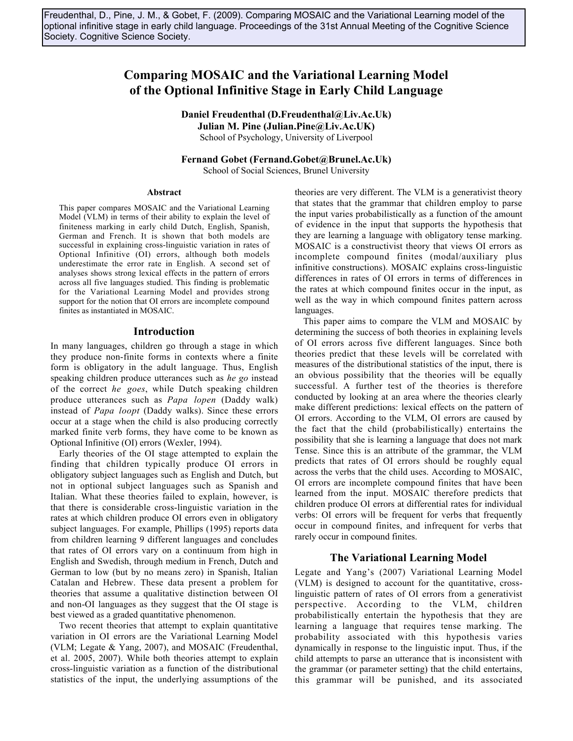Freudenthal, D., Pine, J. M., & Gobet, F. (2009). Comparing MOSAIC and the Variational Learning model of the optional infinitive stage in early child language. Proceedings of the 31st Annual Meeting of the Cognitive Science Society. Cognitive Science Society.

# **Comparing MOSAIC and the Variational Learning Model of the Optional Infinitive Stage in Early Child Language**

**Daniel Freudenthal (D.Freudenthal@Liv.Ac.Uk) Julian M. Pine (Julian.Pine@Liv.Ac.UK)**

School of Psychology, University of Liverpool

**Fernand Gobet (Fernand.Gobet@Brunel.Ac.Uk)**

School of Social Sciences, Brunel University

#### **Abstract**

This paper compares MOSAIC and the Variational Learning Model (VLM) in terms of their ability to explain the level of finiteness marking in early child Dutch, English, Spanish, German and French. It is shown that both models are successful in explaining cross-linguistic variation in rates of Optional Infinitive (OI) errors, although both models underestimate the error rate in English. A second set of analyses shows strong lexical effects in the pattern of errors across all five languages studied. This finding is problematic for the Variational Learning Model and provides strong support for the notion that OI errors are incomplete compound finites as instantiated in MOSAIC.

#### **Introduction**

In many languages, children go through a stage in which they produce non-finite forms in contexts where a finite form is obligatory in the adult language. Thus, English speaking children produce utterances such as *he go* instead of the correct *he goes*, while Dutch speaking children produce utterances such as *Papa lopen* (Daddy walk) instead of *Papa loopt* (Daddy walks). Since these errors occur at a stage when the child is also producing correctly marked finite verb forms, they have come to be known as Optional Infinitive (OI) errors (Wexler, 1994).

Early theories of the OI stage attempted to explain the finding that children typically produce OI errors in obligatory subject languages such as English and Dutch, but not in optional subject languages such as Spanish and Italian. What these theories failed to explain, however, is that there is considerable cross-linguistic variation in the rates at which children produce OI errors even in obligatory subject languages. For example, Phillips (1995) reports data from children learning 9 different languages and concludes that rates of OI errors vary on a continuum from high in English and Swedish, through medium in French, Dutch and German to low (but by no means zero) in Spanish, Italian Catalan and Hebrew. These data present a problem for theories that assume a qualitative distinction between OI and non-OI languages as they suggest that the OI stage is best viewed as a graded quantitative phenomenon.

Two recent theories that attempt to explain quantitative variation in OI errors are the Variational Learning Model (VLM; Legate & Yang, 2007), and MOSAIC (Freudenthal, et al. 2005, 2007). While both theories attempt to explain cross-linguistic variation as a function of the distributional statistics of the input, the underlying assumptions of the theories are very different. The VLM is a generativist theory that states that the grammar that children employ to parse the input varies probabilistically as a function of the amount of evidence in the input that supports the hypothesis that they are learning a language with obligatory tense marking. MOSAIC is a constructivist theory that views OI errors as incomplete compound finites (modal/auxiliary plus infinitive constructions). MOSAIC explains cross-linguistic differences in rates of OI errors in terms of differences in the rates at which compound finites occur in the input, as well as the way in which compound finites pattern across languages.

This paper aims to compare the VLM and MOSAIC by determining the success of both theories in explaining levels of OI errors across five different languages. Since both theories predict that these levels will be correlated with measures of the distributional statistics of the input, there is an obvious possibility that the theories will be equally successful. A further test of the theories is therefore conducted by looking at an area where the theories clearly make different predictions: lexical effects on the pattern of OI errors. According to the VLM, OI errors are caused by the fact that the child (probabilistically) entertains the possibility that she is learning a language that does not mark Tense. Since this is an attribute of the grammar, the VLM predicts that rates of OI errors should be roughly equal across the verbs that the child uses. According to MOSAIC, OI errors are incomplete compound finites that have been learned from the input. MOSAIC therefore predicts that children produce OI errors at differential rates for individual verbs: OI errors will be frequent for verbs that frequently occur in compound finites, and infrequent for verbs that rarely occur in compound finites.

#### **The Variational Learning Model**

Legate and Yang's (2007) Variational Learning Model (VLM) is designed to account for the quantitative, crosslinguistic pattern of rates of OI errors from a generativist perspective. According to the VLM, children probabilistically entertain the hypothesis that they are learning a language that requires tense marking. The probability associated with this hypothesis varies dynamically in response to the linguistic input. Thus, if the child attempts to parse an utterance that is inconsistent with the grammar (or parameter setting) that the child entertains, this grammar will be punished, and its associated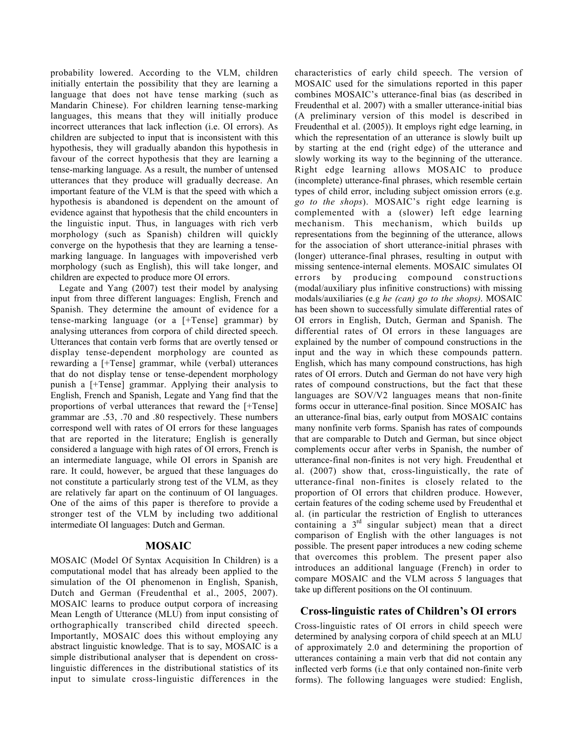probability lowered. According to the VLM, children initially entertain the possibility that they are learning a language that does not have tense marking (such as Mandarin Chinese). For children learning tense-marking languages, this means that they will initially produce incorrect utterances that lack inflection (i.e. OI errors). As children are subjected to input that is inconsistent with this hypothesis, they will gradually abandon this hypothesis in favour of the correct hypothesis that they are learning a tense-marking language. As a result, the number of untensed utterances that they produce will gradually decrease. An important feature of the VLM is that the speed with which a hypothesis is abandoned is dependent on the amount of evidence against that hypothesis that the child encounters in the linguistic input. Thus, in languages with rich verb morphology (such as Spanish) children will quickly converge on the hypothesis that they are learning a tensemarking language. In languages with impoverished verb morphology (such as English), this will take longer, and children are expected to produce more OI errors.

Legate and Yang (2007) test their model by analysing input from three different languages: English, French and Spanish. They determine the amount of evidence for a tense-marking language (or a [+Tense] grammar) by analysing utterances from corpora of child directed speech. Utterances that contain verb forms that are overtly tensed or display tense-dependent morphology are counted as rewarding a [+Tense] grammar, while (verbal) utterances that do not display tense or tense-dependent morphology punish a [+Tense] grammar. Applying their analysis to English, French and Spanish, Legate and Yang find that the proportions of verbal utterances that reward the [+Tense] grammar are .53, .70 and .80 respectively. These numbers correspond well with rates of OI errors for these languages that are reported in the literature; English is generally considered a language with high rates of OI errors, French is an intermediate language, while OI errors in Spanish are rare. It could, however, be argued that these languages do not constitute a particularly strong test of the VLM, as they are relatively far apart on the continuum of OI languages. One of the aims of this paper is therefore to provide a stronger test of the VLM by including two additional intermediate OI languages: Dutch and German.

## **MOSAIC**

MOSAIC (Model Of Syntax Acquisition In Children) is a computational model that has already been applied to the simulation of the OI phenomenon in English, Spanish, Dutch and German (Freudenthal et al., 2005, 2007). MOSAIC learns to produce output corpora of increasing Mean Length of Utterance (MLU) from input consisting of orthographically transcribed child directed speech. Importantly, MOSAIC does this without employing any abstract linguistic knowledge. That is to say, MOSAIC is a simple distributional analyser that is dependent on crosslinguistic differences in the distributional statistics of its input to simulate cross-linguistic differences in the

characteristics of early child speech. The version of MOSAIC used for the simulations reported in this paper combines MOSAIC's utterance-final bias (as described in Freudenthal et al. 2007) with a smaller utterance-initial bias (A preliminary version of this model is described in Freudenthal et al. (2005)). It employs right edge learning, in which the representation of an utterance is slowly built up by starting at the end (right edge) of the utterance and slowly working its way to the beginning of the utterance. Right edge learning allows MOSAIC to produce (incomplete) utterance-final phrases, which resemble certain types of child error, including subject omission errors (e.g. *go to the shops*). MOSAIC's right edge learning is complemented with a (slower) left edge learning mechanism. This mechanism, which builds up representations from the beginning of the utterance, allows for the association of short utterance-initial phrases with (longer) utterance-final phrases, resulting in output with missing sentence-internal elements. MOSAIC simulates OI errors by producing compound constructions (modal/auxiliary plus infinitive constructions) with missing modals/auxiliaries (e.g *he (can) go to the shops)*. MOSAIC has been shown to successfully simulate differential rates of OI errors in English, Dutch, German and Spanish. The differential rates of OI errors in these languages are explained by the number of compound constructions in the input and the way in which these compounds pattern. English, which has many compound constructions, has high rates of OI errors. Dutch and German do not have very high rates of compound constructions, but the fact that these languages are SOV/V2 languages means that non-finite forms occur in utterance-final position. Since MOSAIC has an utterance-final bias, early output from MOSAIC contains many nonfinite verb forms. Spanish has rates of compounds that are comparable to Dutch and German, but since object complements occur after verbs in Spanish, the number of utterance-final non-finites is not very high. Freudenthal et al. (2007) show that, cross-linguistically, the rate of utterance-final non-finites is closely related to the proportion of OI errors that children produce. However, certain features of the coding scheme used by Freudenthal et al. (in particular the restriction of English to utterances containing a 3rd singular subject) mean that a direct comparison of English with the other languages is not possible. The present paper introduces a new coding scheme that overcomes this problem. The present paper also introduces an additional language (French) in order to compare MOSAIC and the VLM across 5 languages that take up different positions on the OI continuum.

# **Cross-linguistic rates of Children's OI errors**

Cross-linguistic rates of OI errors in child speech were determined by analysing corpora of child speech at an MLU of approximately 2.0 and determining the proportion of utterances containing a main verb that did not contain any inflected verb forms (i.e that only contained non-finite verb forms). The following languages were studied: English,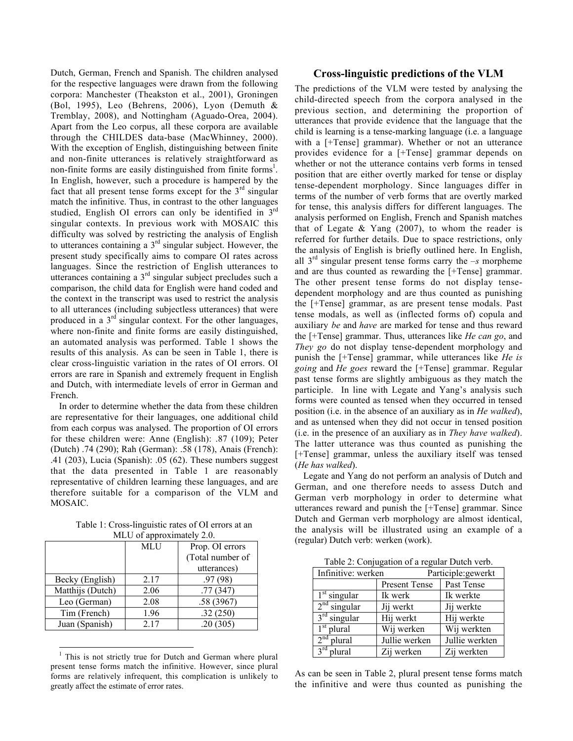Dutch, German, French and Spanish. The children analysed for the respective languages were drawn from the following corpora: Manchester (Theakston et al., 2001), Groningen (Bol, 1995), Leo (Behrens, 2006), Lyon (Demuth & Tremblay, 2008), and Nottingham (Aguado-Orea, 2004). Apart from the Leo corpus, all these corpora are available through the CHILDES data-base (MacWhinney, 2000). With the exception of English, distinguishing between finite and non-finite utterances is relatively straightforward as non-finite forms are easily distinguished from finite forms<sup>1</sup>. In English, however, such a procedure is hampered by the fact that all present tense forms except for the  $3<sup>rd</sup>$  singular match the infinitive. Thus, in contrast to the other languages studied, English OI errors can only be identified in 3rd singular contexts. In previous work with MOSAIC this difficulty was solved by restricting the analysis of English to utterances containing a  $3<sup>rd</sup>$  singular subject. However, the present study specifically aims to compare OI rates across languages. Since the restriction of English utterances to utterances containing a 3rd singular subject precludes such a comparison, the child data for English were hand coded and the context in the transcript was used to restrict the analysis to all utterances (including subjectless utterances) that were produced in a  $3<sup>rd</sup>$  singular context. For the other languages, where non-finite and finite forms are easily distinguished, an automated analysis was performed. Table 1 shows the results of this analysis. As can be seen in Table 1, there is clear cross-linguistic variation in the rates of OI errors. OI errors are rare in Spanish and extremely frequent in English and Dutch, with intermediate levels of error in German and French.

In order to determine whether the data from these children are representative for their languages, one additional child from each corpus was analysed. The proportion of OI errors for these children were: Anne (English): .87 (109); Peter (Dutch) .74 (290); Rah (German): .58 (178), Anais (French): .41 (203), Lucia (Spanish): .05 (62). These numbers suggest that the data presented in Table 1 are reasonably representative of children learning these languages, and are therefore suitable for a comparison of the VLM and MOSAIC.

Table 1: Cross-linguistic rates of OI errors at an MLU of approximately 2.0.

| $\cdots$ $\cdots$ $\cdots$ $\cdots$ |            |                  |  |  |
|-------------------------------------|------------|------------------|--|--|
|                                     | <b>MLU</b> | Prop. OI errors  |  |  |
|                                     |            | (Total number of |  |  |
|                                     |            | utterances)      |  |  |
| Becky (English)                     | 2.17       | .97(98)          |  |  |
| Matthijs (Dutch)                    | 2.06       | .77(347)         |  |  |
| Leo (German)                        | 2.08       | .58 (3967)       |  |  |
| Tim (French)                        | 1.96       | .32(250)         |  |  |
| Juan (Spanish)                      | 2.17       | .20(305)         |  |  |

 $<sup>1</sup>$  This is not strictly true for Dutch and German where plural</sup> present tense forms match the infinitive. However, since plural forms are relatively infrequent, this complication is unlikely to greatly affect the estimate of error rates.

### **Cross-linguistic predictions of the VLM**

The predictions of the VLM were tested by analysing the child-directed speech from the corpora analysed in the previous section, and determining the proportion of utterances that provide evidence that the language that the child is learning is a tense-marking language (i.e. a language with a [+Tense] grammar). Whether or not an utterance provides evidence for a [+Tense] grammar depends on whether or not the utterance contains verb forms in tensed position that are either overtly marked for tense or display tense-dependent morphology. Since languages differ in terms of the number of verb forms that are overtly marked for tense, this analysis differs for different languages. The analysis performed on English, French and Spanish matches that of Legate  $& Yang (2007)$ , to whom the reader is referred for further details. Due to space restrictions, only the analysis of English is briefly outlined here. In English, all  $3<sup>rd</sup>$  singular present tense forms carry the  $-s$  morpheme and are thus counted as rewarding the [+Tense] grammar. The other present tense forms do not display tensedependent morphology and are thus counted as punishing the [+Tense] grammar, as are present tense modals. Past tense modals, as well as (inflected forms of) copula and auxiliary *be* and *have* are marked for tense and thus reward the [+Tense] grammar. Thus, utterances like *He can go*, and *They go* do not display tense-dependent morphology and punish the [+Tense] grammar, while utterances like *He is going* and *He goes* reward the [+Tense] grammar. Regular past tense forms are slightly ambiguous as they match the participle. In line with Legate and Yang's analysis such forms were counted as tensed when they occurred in tensed position (i.e. in the absence of an auxiliary as in *He walked*), and as untensed when they did not occur in tensed position (i.e. in the presence of an auxiliary as in *They have walked*). The latter utterance was thus counted as punishing the [+Tense] grammar, unless the auxiliary itself was tensed (*He has walked*).

Legate and Yang do not perform an analysis of Dutch and German, and one therefore needs to assess Dutch and German verb morphology in order to determine what utterances reward and punish the [+Tense] grammar. Since Dutch and German verb morphology are almost identical, the analysis will be illustrated using an example of a (regular) Dutch verb: werken (work).

Table 2: Conjugation of a regular Dutch verb.

| Infinitive: werken                |               | Participle:gewerkt |  |
|-----------------------------------|---------------|--------------------|--|
|                                   | Present Tense | Past Tense         |  |
| $1st$ singular                    | Ik werk       | Ik werkte          |  |
| $2nd$ singular                    | Jij werkt     | Jij werkte         |  |
| $3rd$ singular                    | Hij werkt     | Hij werkte         |  |
| $1st$ plural                      | Wij werken    | Wij werkten        |  |
| $2nd$ plural                      | Jullie werken | Jullie werkten     |  |
| $\overline{3}^{\text{rd}}$ plural | Zij werken    | Zij werkten        |  |

As can be seen in Table 2, plural present tense forms match the infinitive and were thus counted as punishing the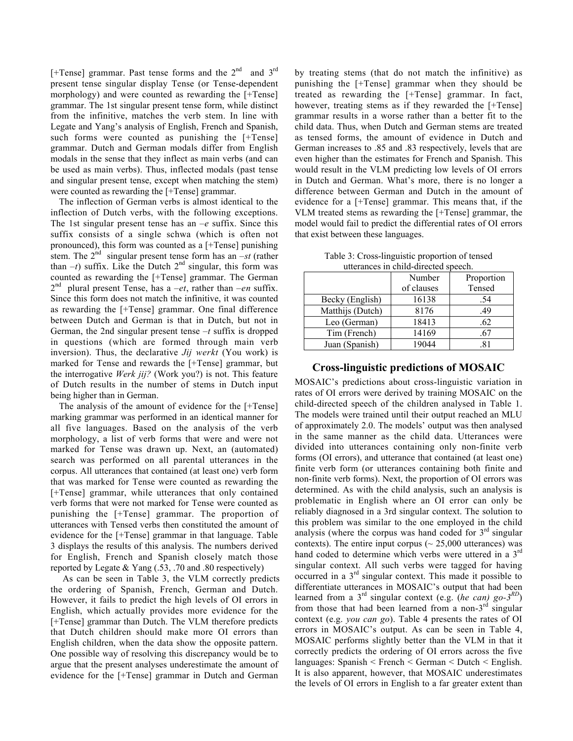[+Tense] grammar. Past tense forms and the  $2<sup>nd</sup>$  and  $3<sup>rd</sup>$ present tense singular display Tense (or Tense-dependent morphology) and were counted as rewarding the [+Tense] grammar. The 1st singular present tense form, while distinct from the infinitive, matches the verb stem. In line with Legate and Yang's analysis of English, French and Spanish, such forms were counted as punishing the [+Tense] grammar. Dutch and German modals differ from English modals in the sense that they inflect as main verbs (and can be used as main verbs). Thus, inflected modals (past tense and singular present tense, except when matching the stem) were counted as rewarding the [+Tense] grammar.

The inflection of German verbs is almost identical to the inflection of Dutch verbs, with the following exceptions. The 1st singular present tense has an *–e* suffix. Since this suffix consists of a single schwa (which is often not pronounced), this form was counted as a [+Tense] punishing stem. The  $2^{nd}$  singular present tense form has an  $-st$  (rather than  $-t$ ) suffix. Like the Dutch  $2<sup>nd</sup>$  singular, this form was counted as rewarding the [+Tense] grammar. The German  $2<sup>nd</sup>$  plural present Tense, has a *–et*, rather than *–en* suffix. Since this form does not match the infinitive, it was counted as rewarding the [+Tense] grammar. One final difference between Dutch and German is that in Dutch, but not in German, the 2nd singular present tense *–t* suffix is dropped in questions (which are formed through main verb inversion). Thus, the declarative *Jij werkt* (You work) is marked for Tense and rewards the [+Tense] grammar, but the interrogative *Werk jij?* (Work you?) is not. This feature of Dutch results in the number of stems in Dutch input being higher than in German.

The analysis of the amount of evidence for the [+Tense] marking grammar was performed in an identical manner for all five languages. Based on the analysis of the verb morphology, a list of verb forms that were and were not marked for Tense was drawn up. Next, an (automated) search was performed on all parental utterances in the corpus. All utterances that contained (at least one) verb form that was marked for Tense were counted as rewarding the [+Tense] grammar, while utterances that only contained verb forms that were not marked for Tense were counted as punishing the [+Tense] grammar. The proportion of utterances with Tensed verbs then constituted the amount of evidence for the [+Tense] grammar in that language. Table 3 displays the results of this analysis. The numbers derived for English, French and Spanish closely match those reported by Legate & Yang (.53, .70 and .80 respectively)

As can be seen in Table 3, the VLM correctly predicts the ordering of Spanish, French, German and Dutch. However, it fails to predict the high levels of OI errors in English, which actually provides more evidence for the [+Tense] grammar than Dutch. The VLM therefore predicts that Dutch children should make more OI errors than English children, when the data show the opposite pattern. One possible way of resolving this discrepancy would be to argue that the present analyses underestimate the amount of evidence for the [+Tense] grammar in Dutch and German

by treating stems (that do not match the infinitive) as punishing the [+Tense] grammar when they should be treated as rewarding the [+Tense] grammar. In fact, however, treating stems as if they rewarded the [+Tense] grammar results in a worse rather than a better fit to the child data. Thus, when Dutch and German stems are treated as tensed forms, the amount of evidence in Dutch and German increases to .85 and .83 respectively, levels that are even higher than the estimates for French and Spanish. This would result in the VLM predicting low levels of OI errors in Dutch and German. What's more, there is no longer a difference between German and Dutch in the amount of evidence for a [+Tense] grammar. This means that, if the VLM treated stems as rewarding the [+Tense] grammar, the model would fail to predict the differential rates of OI errors that exist between these languages.

| utterances in child-directed speech. |            |            |  |
|--------------------------------------|------------|------------|--|
|                                      | Number     | Proportion |  |
|                                      | of clauses | Tensed     |  |
| Becky (English)                      | 16138      | .54        |  |
| Matthijs (Dutch)                     | 8176       | .49        |  |
| Leo (German)                         | 18413      | .62        |  |
| Tim (French)                         | 14169      | .67        |  |
| Juan (Spanish)                       | 19044      |            |  |

Table 3: Cross-linguistic proportion of tensed

## **Cross-linguistic predictions of MOSAIC**

MOSAIC's predictions about cross-linguistic variation in rates of OI errors were derived by training MOSAIC on the child-directed speech of the children analysed in Table 1. The models were trained until their output reached an MLU of approximately 2.0. The models' output was then analysed in the same manner as the child data. Utterances were divided into utterances containing only non-finite verb forms (OI errors), and utterance that contained (at least one) finite verb form (or utterances containing both finite and non-finite verb forms). Next, the proportion of OI errors was determined. As with the child analysis, such an analysis is problematic in English where an OI error can only be reliably diagnosed in a 3rd singular context. The solution to this problem was similar to the one employed in the child analysis (where the corpus was hand coded for  $3<sup>rd</sup>$  singular contexts). The entire input corpus  $($   $\sim$  25,000 utterances) was hand coded to determine which verbs were uttered in a 3<sup>rd</sup> singular context. All such verbs were tagged for having occurred in a  $3<sup>rd</sup>$  singular context. This made it possible to differentiate utterances in MOSAIC's output that had been learned from a 3rd singular context (e.g. (*he can) go-3RD*) from those that had been learned from a non- $3<sup>rd</sup>$  singular context (e.g. *you can go*). Table 4 presents the rates of OI errors in MOSAIC's output. As can be seen in Table 4, MOSAIC performs slightly better than the VLM in that it correctly predicts the ordering of OI errors across the five languages: Spanish < French < German < Dutch < English. It is also apparent, however, that MOSAIC underestimates the levels of OI errors in English to a far greater extent than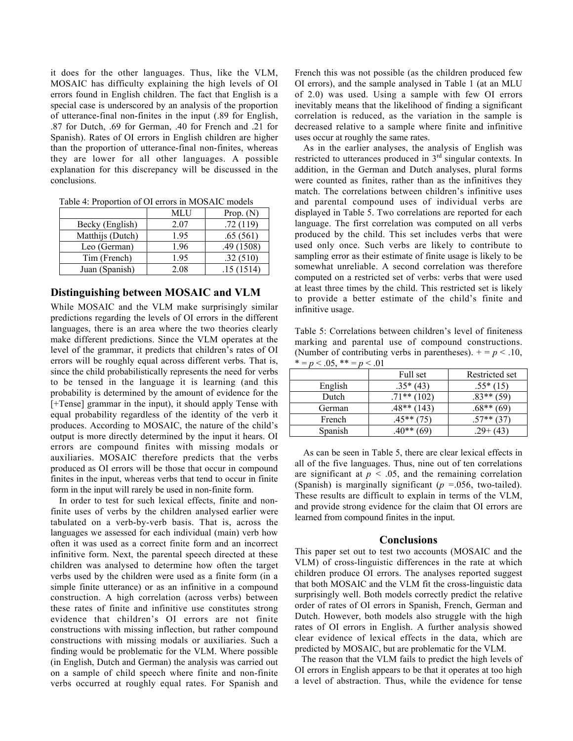it does for the other languages. Thus, like the VLM, MOSAIC has difficulty explaining the high levels of OI errors found in English children. The fact that English is a special case is underscored by an analysis of the proportion of utterance-final non-finites in the input (.89 for English, .87 for Dutch, .69 for German, .40 for French and .21 for Spanish). Rates of OI errors in English children are higher than the proportion of utterance-final non-finites, whereas they are lower for all other languages. A possible explanation for this discrepancy will be discussed in the conclusions.

| Tuble 1. I Topollion of OT chold in MODI HC models |      |             |
|----------------------------------------------------|------|-------------|
|                                                    | MLU  | Prop. $(N)$ |
| Becky (English)                                    | 2.07 | .72(119)    |
| Matthijs (Dutch)                                   | 1.95 | .65(561)    |
| Leo (German)                                       | 1.96 | .49(1508)   |
| Tim (French)                                       | 1.95 | .32(510)    |
| Juan (Spanish)                                     | 2.08 | .15(1514)   |

Table 4: Proportion of OI errors in MOSAIC models

# **Distinguishing between MOSAIC and VLM**

While MOSAIC and the VLM make surprisingly similar predictions regarding the levels of OI errors in the different languages, there is an area where the two theories clearly make different predictions. Since the VLM operates at the level of the grammar, it predicts that children's rates of OI errors will be roughly equal across different verbs. That is, since the child probabilistically represents the need for verbs to be tensed in the language it is learning (and this probability is determined by the amount of evidence for the [+Tense] grammar in the input), it should apply Tense with equal probability regardless of the identity of the verb it produces. According to MOSAIC, the nature of the child's output is more directly determined by the input it hears. OI errors are compound finites with missing modals or auxiliaries. MOSAIC therefore predicts that the verbs produced as OI errors will be those that occur in compound finites in the input, whereas verbs that tend to occur in finite form in the input will rarely be used in non-finite form.

In order to test for such lexical effects, finite and nonfinite uses of verbs by the children analysed earlier were tabulated on a verb-by-verb basis. That is, across the languages we assessed for each individual (main) verb how often it was used as a correct finite form and an incorrect infinitive form. Next, the parental speech directed at these children was analysed to determine how often the target verbs used by the children were used as a finite form (in a simple finite utterance) or as an infinitive in a compound construction. A high correlation (across verbs) between these rates of finite and infinitive use constitutes strong evidence that children's OI errors are not finite constructions with missing inflection, but rather compound constructions with missing modals or auxiliaries. Such a finding would be problematic for the VLM. Where possible (in English, Dutch and German) the analysis was carried out on a sample of child speech where finite and non-finite verbs occurred at roughly equal rates. For Spanish and

French this was not possible (as the children produced few OI errors), and the sample analysed in Table 1 (at an MLU of 2.0) was used. Using a sample with few OI errors inevitably means that the likelihood of finding a significant correlation is reduced, as the variation in the sample is decreased relative to a sample where finite and infinitive uses occur at roughly the same rates.

As in the earlier analyses, the analysis of English was restricted to utterances produced in  $3<sup>rd</sup>$  singular contexts. In addition, in the German and Dutch analyses, plural forms were counted as finites, rather than as the infinitives they match. The correlations between children's infinitive uses and parental compound uses of individual verbs are displayed in Table 5. Two correlations are reported for each language. The first correlation was computed on all verbs produced by the child. This set includes verbs that were used only once. Such verbs are likely to contribute to sampling error as their estimate of finite usage is likely to be somewhat unreliable. A second correlation was therefore computed on a restricted set of verbs: verbs that were used at least three times by the child. This restricted set is likely to provide a better estimate of the child's finite and infinitive usage.

Table 5: Correlations between children's level of finiteness marking and parental use of compound constructions. (Number of contributing verbs in parentheses).  $+ = p < 0.10$ ,  $* = p < 0.5$   $** = p < 0.1$ 

| $\cdot$ . $\cdot$ . | $\cdot$ $\cdot$ $\cdot$ |                 |
|---------------------|-------------------------|-----------------|
|                     | Full set                | Restricted set  |
| English             | $.35*(43)$              | $.55*(15)$      |
| Dutch               | $.71**$ (102)           | $.83**$ (59)    |
| German              | $.48**$<br>143)         | $.68**$<br>(69) |
| French              | $.45**$ (75)            |                 |
| Spanish             | .40**                   | (43)            |

As can be seen in Table 5, there are clear lexical effects in all of the five languages. Thus, nine out of ten correlations are significant at  $p < .05$ , and the remaining correlation (Spanish) is marginally significant  $(p = 0.056,$  two-tailed). These results are difficult to explain in terms of the VLM, and provide strong evidence for the claim that OI errors are learned from compound finites in the input.

#### **Conclusions**

This paper set out to test two accounts (MOSAIC and the VLM) of cross-linguistic differences in the rate at which children produce OI errors. The analyses reported suggest that both MOSAIC and the VLM fit the cross-linguistic data surprisingly well. Both models correctly predict the relative order of rates of OI errors in Spanish, French, German and Dutch. However, both models also struggle with the high rates of OI errors in English. A further analysis showed clear evidence of lexical effects in the data, which are predicted by MOSAIC, but are problematic for the VLM.

The reason that the VLM fails to predict the high levels of OI errors in English appears to be that it operates at too high a level of abstraction. Thus, while the evidence for tense